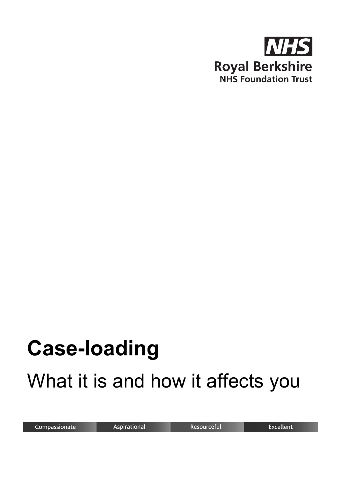

# **Case-loading** What it is and how it affects you

Compassionate

Aspirational

Resourceful

Excellent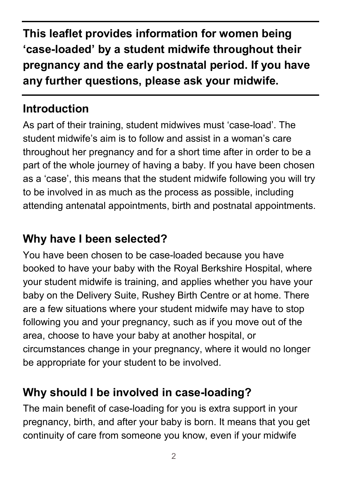**This leaflet provides information for women being 'case-loaded' by a student midwife throughout their pregnancy and the early postnatal period. If you have any further questions, please ask your midwife.**

## **Introduction**

As part of their training, student midwives must 'case-load'. The student midwife's aim is to follow and assist in a woman's care throughout her pregnancy and for a short time after in order to be a part of the whole journey of having a baby. If you have been chosen as a 'case', this means that the student midwife following you will try to be involved in as much as the process as possible, including attending antenatal appointments, birth and postnatal appointments.

# **Why have I been selected?**

You have been chosen to be case-loaded because you have booked to have your baby with the Royal Berkshire Hospital, where your student midwife is training, and applies whether you have your baby on the Delivery Suite, Rushey Birth Centre or at home. There are a few situations where your student midwife may have to stop following you and your pregnancy, such as if you move out of the area, choose to have your baby at another hospital, or circumstances change in your pregnancy, where it would no longer be appropriate for your student to be involved.

# **Why should I be involved in case-loading?**

The main benefit of case-loading for you is extra support in your pregnancy, birth, and after your baby is born. It means that you get continuity of care from someone you know, even if your midwife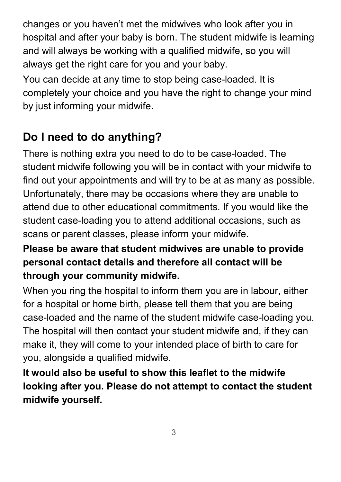changes or you haven't met the midwives who look after you in hospital and after your baby is born. The student midwife is learning and will always be working with a qualified midwife, so you will always get the right care for you and your baby.

You can decide at any time to stop being case-loaded. It is completely your choice and you have the right to change your mind by just informing your midwife.

# **Do I need to do anything?**

There is nothing extra you need to do to be case-loaded. The student midwife following you will be in contact with your midwife to find out your appointments and will try to be at as many as possible. Unfortunately, there may be occasions where they are unable to attend due to other educational commitments. If you would like the student case-loading you to attend additional occasions, such as scans or parent classes, please inform your midwife.

#### **Please be aware that student midwives are unable to provide personal contact details and therefore all contact will be through your community midwife.**

When you ring the hospital to inform them you are in labour, either for a hospital or home birth, please tell them that you are being case-loaded and the name of the student midwife case-loading you. The hospital will then contact your student midwife and, if they can make it, they will come to your intended place of birth to care for you, alongside a qualified midwife.

**It would also be useful to show this leaflet to the midwife looking after you. Please do not attempt to contact the student midwife yourself.**